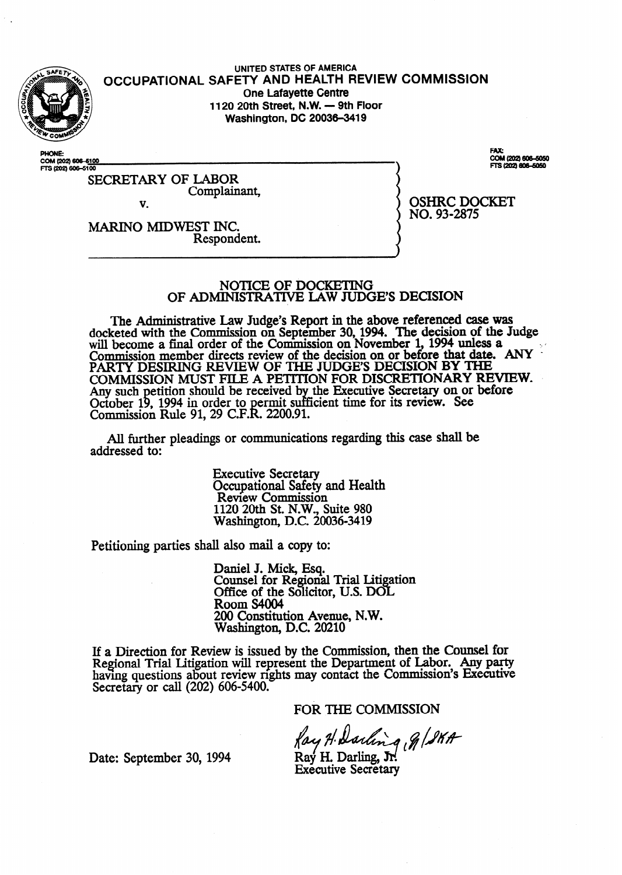

L

**UNITED STATES QF AMERICA OCCUPATIONAL SAFETY AND HEALTH REVIEW COMMISSION One Lafayette Centre 1120 20th Street, N.W. - 9th Floor Washington, DC 20036-3419** 

**PHONE** COM (202) 606–510<br>FTS (202) 606–5100

COM (202) 606-5050 FTS (202) BOR 5050

SECRETARY OF LABOR Complainant,

v.

OSHRC DOCKET NO. 93-2875

MARINO MIDWEST INC. Respondent.

### NOTICE OF DOCKETING OF ADMINISTRATIVE LAW JUDGE'S DECISION

The Administrative Law Judge's Report in the above referenced case was docketed with the Commission on September 30,1994. The decision of the Judge will become a final order of the Commission on November 1, 1994 unless a Commission member directs review of the decision on or before that date. ANY PARTY DESIRING REVIEW OF THE JUDGE'S DECISION BY THE COMMISSION MUST FILE A PETITION FOR DISCRETIONARY REVIEW. Any such 9, etition should be received by the Executive Secretary on or before October 19, 1994 in order to permit su  $\mathbf R$ ufficient time for its review. See Commission Rule 91, 29 C.F.R. 2200.91.

All further pleadings or communications regarding this case shall be addressed to:

> Executive Secretary Occupational Safety and Health Review Commission 1120 20th St. N.W., Suite 980 Washington, DC. 20036-3419

Petitioning parties shall also mail a copy to:

Daniel J. Mick, Esq. Counsel for Regional Trial Litigation Office of the Solicitor, U.S. DOL Room S4004 **200** Constitution Avenue, N.W. Washington, D.C. 20210

If a Direction for Review is issued by the Commission, then the Counsel for Regional Trial Litigation will represent the Department of Labor. Any party having questions about review rights may contact the Commission's Executive Secretary or call (202) 606-5400.

FOR THE COMMISSION

Date: September 30, 1994 **Ray H. Darling, Jr.** 

Executive Secretary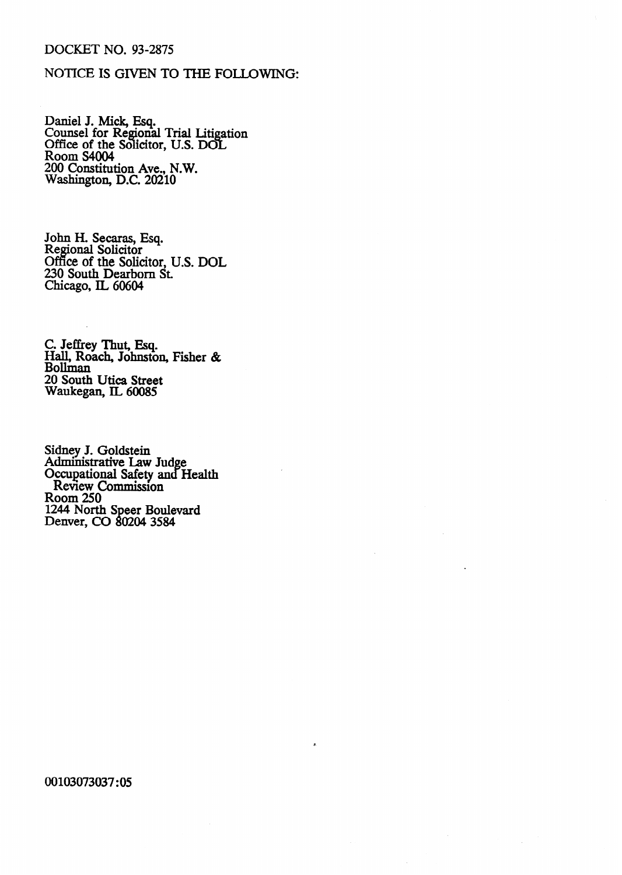## DOCKET NO. 93-2875

## NOTICE IS GIVEN TO THE FOLLOWING:

Daniel J. Mick, Esq. Counsel for Regional Trial Litig  $\overline{\mathbf{d}}$ ation Office of the Solicitor, U.S. DOL Room S4004 200 Constitution Ave., N.W. Washington, D.C. 20210

John H. Secaras, Esq. Regional Solicitor Office of the Solicitor, U.S. DOL 230 South Dearborn St. Chicago, IL 60604

C. Jeffrey Thut, Esq. Hall, Roach, Johnston, Fisher & **Bollman** 20 South Utica Street Waukegan, IL 60085

Sidney J. Goldstein Administrative Law Judge Occupational Safety and Health Review Commission Room 250 1244 North Speer Boulevard Denver, CO 80204 3584

00103073037:05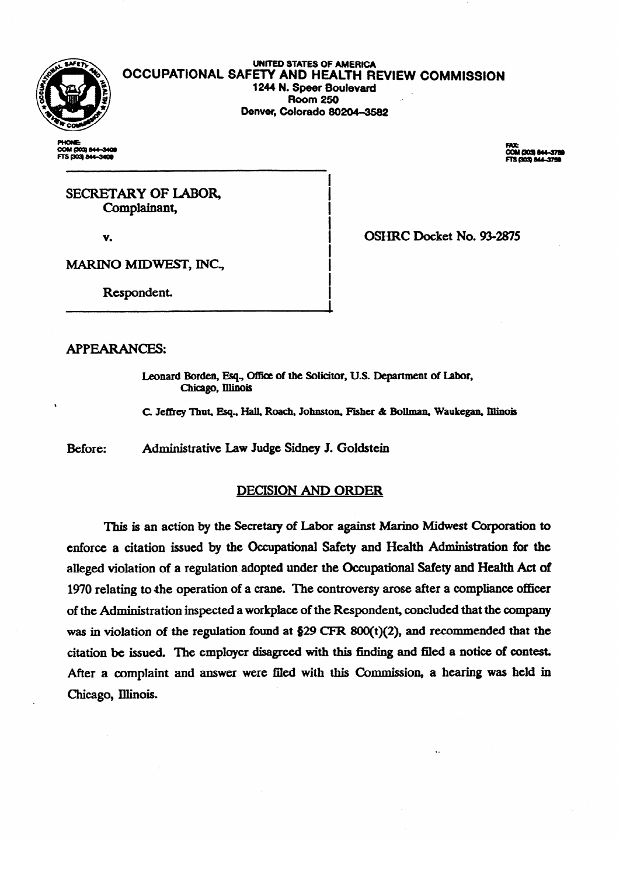

#### **UNKED STATES OF AMERICA OCCUPATIONAL SAFETY AND HEALTH REVIEW COMMISSION 1244 N. Speer Boulevard Room 250 ROOM 250<br>alangla 00004 .0500 ...**... **Denver, Colorado 80204-3582**

COM (303) 844-3408 FTS (303) 844-3409

COM (303) 844-3758

SECRETARY OF LABOR, complainant,

v.

OSHRC Docket No. 93-2875 OSHRC Docket No. 93-2875

MARINO MIDWEST, INC.,

Respondent.

# **APPEARANCES:**

Chicago, Illinois

C. Jeffrey Thut, Esq., Hall, Roach, Johnston, Fisher & Bollman, Waukegan, Illinois

Administrative Law Judge Sidney J. Goldstein Before:

# **DECISION AND ORDER**

This is an action by the Secretary of Labor against Marino Midwest Corporation to enforce a citation issued by the Occupational Safety and Health Administration for the alleged violation of a regulation adopted under the Occupational Safety and Health Act of 1970 relating to the operation of a crane. The controversy arose after a compliance officer of the Administration inspected a workplace of the Respondent, concluded that the company was in violation of the regulation found at  $\S 29$  CFR 800(t)(2), and recommended that the citation be issued. The employer disagreed with this finding and filed a notice of contest. After a complaint and answer were filed with this Commission, a hearing was held in After a complete a complete with the commission of the commission, a hearing was held in the commission, a hearing was held in the commission, a hearing was held in the commission, a hearing was held in the commission, and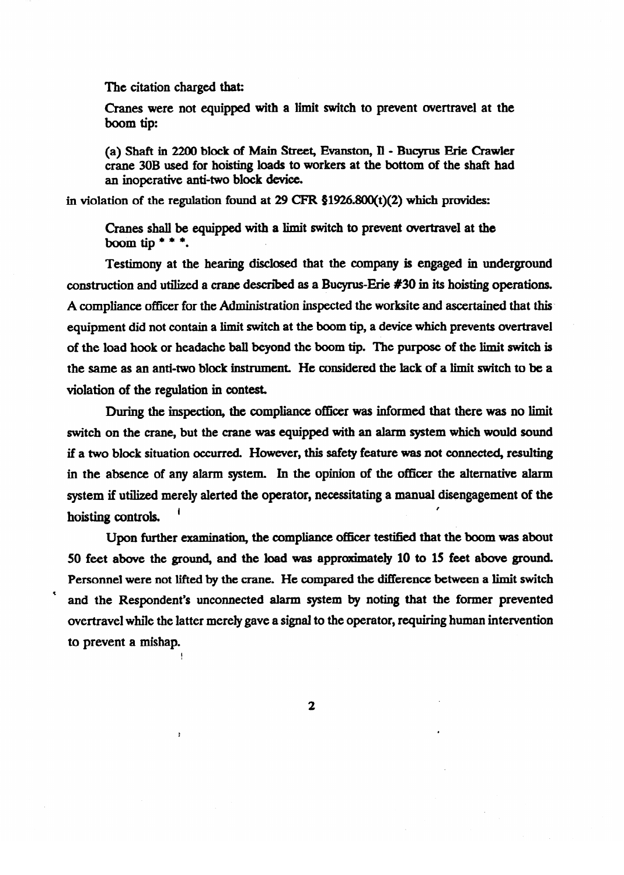The citation charged that:

÷

Cranes were not equipped with a limit switch to prevent overtravel at the boom tip:

(a) Shaft in 2200 block of Main **Street,** Evanston, II - Bucyrus Erie Crawler crane 30B used for hoisting loads to workers at the bottom of the shaft had an inoperative anti-two block device.

in violation of the regulation found at 29 CFR  $$1926.800(t)(2)$  which provides:

Cranes shall be equipped with a limit switch to prevent overtravel at the boom tip  $* * *$ .

Testimony at the hearing disclosed that the company is engaged in underground construction and utilized a crane described as a Bucyrus-Erie  $#30$  in its hoisting operations. A compliance officer for the Administration inspected the worksite and ascertained that this equipment did not contain a limit switch at the boom tip, a device which prevents overtravel of the load hook or headache ball beyond the boom tip. The purpose of the limit switch is the same as an anti-two block instrument. He considered the lack of a limit switch to be a violation of the regulation in contest.

During the inspection, the compliance officer was informed that there was no limit switch on the crane, but the crane was equipped with an alarm system which would sound if a two block situation occurred. However, this safety feature was not connected, resulting in the absence of any alarm system. In the opinion of the officer the alternative alarm system if utilized merely alerted the operator, necessitating a manual disengagement of the hoisting controls.

**hough** controls controls controls and the controls of the controls are the controls of the controls are the controls are the controls of the controls are the controls are the controls are the controls are the controls are t<br>t 50 feet above the ground, and the load was approximately 10 to 15 feet above ground. Personnel were not lifted by the crane. He compared the difference between a limit switch and the Respondent's unconnected alarm system by noting that the former prevented overtravel while the latter merely gave a signal to the operator, requiring human intervention to prevent a mishap.

 $\overline{2}$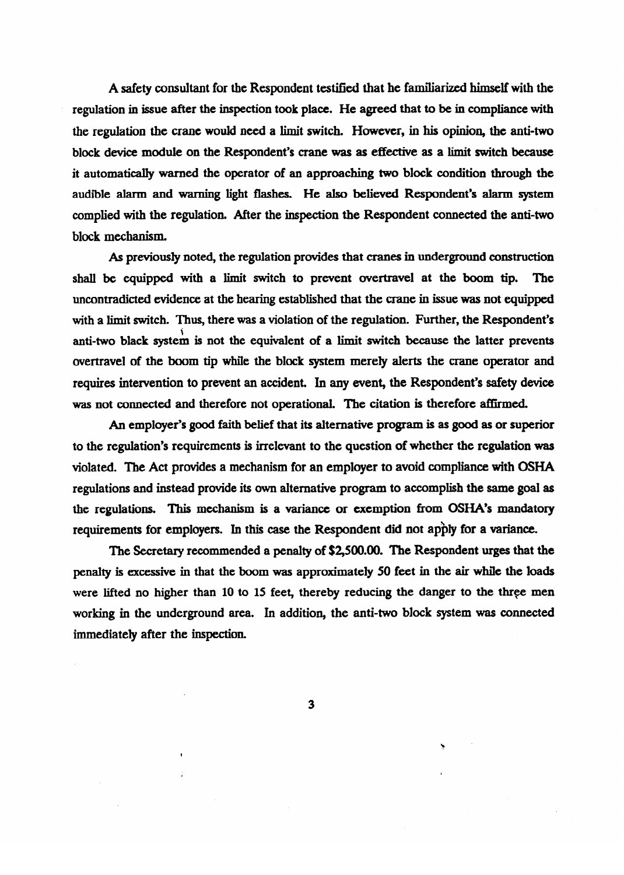A safety consultant for the Respondent testifjed that he familiarized himself with the regulation in issue after the inspection took place. He agreed that to be in compliance with the regulation the crane would need a limit switch. However, in his opinion, the anti-two block device module on the Respondent's crane was as effective as a limit switch because it automatically warned the operator of an approaching two block condition through the audible alarm and warning light flashes. He also believed Respondent's alarm system complied with the regulation. After the inspection the Respondent connected the anti-two block mechanism.

As previously noted, the regulation provides that cranes in underground construction shall be equipped with a limit switch to prevent overtravel at the boom tip. The uncontradicted evidence at the hearing established that the crane in issue was not equipped with a limit switch. Thus, there was a violation of the regulation. Further, the Respondent's with a limit switch. Thus, there we are written of the regulation of the regulation. Thus, the regulation of  $\epsilon$ i anti-two black system is not the the equivalent of the equivalent of the boom tip while the block system merely alerts the crane operator and requires intervention to prevent an accident. In any event, the Respondent's safety device was not connected and therefore not operational. The citation is therefore affirmed.

An employer's good faith belief that its alternative program is as good as or superior to the regulation's requirements is irrelevant to the question of whether the regulation was violated. The Act provides a mechanism for an employer to avoid compliance with OSHA regulations and instead provide its own alternative program to accomplish the same goal as the regulations. This mechanism is a variance or exemption from OSHA's mandatory requirements for employers. In this case the Respondent did not apply for a variance.

The Secretary recommended a penalty of \$2,500.00. The Respondent urges that the penalty is excessive in that the boom was approximately 50 feet in the air while the loads were lifted no higher than 10 to 15 feet, thereby reducing the danger to the three men working in the underground area. In addition, the anti-two block system was connected im mediately after the inspection.

3